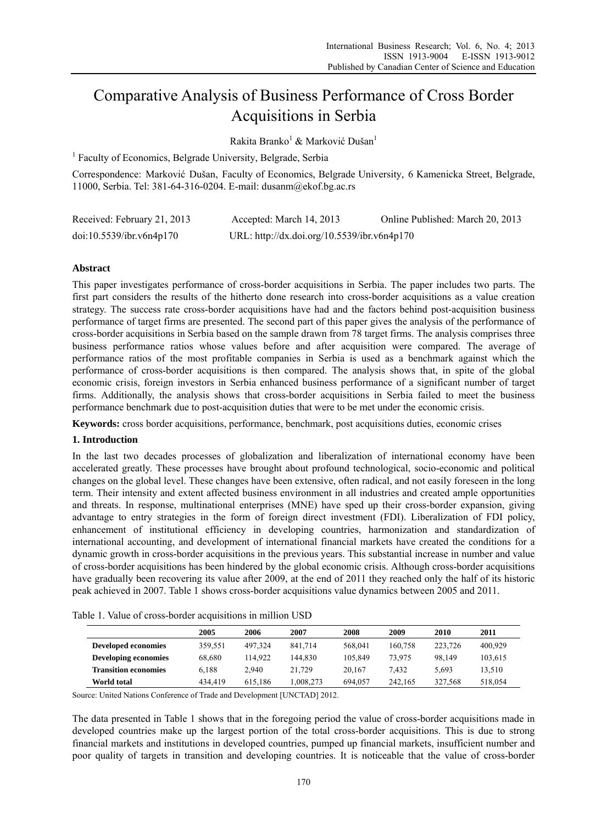# Comparative Analysis of Business Performance of Cross Border Acquisitions in Serbia

Rakita Branko<sup>1</sup> & Marković Dušan<sup>1</sup>

<sup>1</sup> Faculty of Economics, Belgrade University, Belgrade, Serbia

Correspondence: Marković Dušan, Faculty of Economics, Belgrade University, 6 Kamenicka Street, Belgrade, 11000, Serbia. Tel: 381-64-316-0204. E-mail: dusanm@ekof.bg.ac.rs

| Received: February 21, 2013 | Accepted: March 14, 2013                    | Online Published: March 20, 2013 |
|-----------------------------|---------------------------------------------|----------------------------------|
| doi:10.5539/ibr.v6n4p170    | URL: http://dx.doi.org/10.5539/ibr.v6n4p170 |                                  |

## **Abstract**

This paper investigates performance of cross-border acquisitions in Serbia. The paper includes two parts. The first part considers the results of the hitherto done research into cross-border acquisitions as a value creation strategy. The success rate cross-border acquisitions have had and the factors behind post-acquisition business performance of target firms are presented. The second part of this paper gives the analysis of the performance of cross-border acquisitions in Serbia based on the sample drawn from 78 target firms. The analysis comprises three business performance ratios whose values before and after acquisition were compared. The average of performance ratios of the most profitable companies in Serbia is used as a benchmark against which the performance of cross-border acquisitions is then compared. The analysis shows that, in spite of the global economic crisis, foreign investors in Serbia enhanced business performance of a significant number of target firms. Additionally, the analysis shows that cross-border acquisitions in Serbia failed to meet the business performance benchmark due to post-acquisition duties that were to be met under the economic crisis.

**Keywords:** cross border acquisitions, performance, benchmark, post acquisitions duties, economic crises

#### **1. Introduction**

In the last two decades processes of globalization and liberalization of international economy have been accelerated greatly. These processes have brought about profound technological, socio-economic and political changes on the global level. These changes have been extensive, often radical, and not easily foreseen in the long term. Their intensity and extent affected business environment in all industries and created ample opportunities and threats. In response, multinational enterprises (MNE) have sped up their cross-border expansion, giving advantage to entry strategies in the form of foreign direct investment (FDI). Liberalization of FDI policy, enhancement of institutional efficiency in developing countries, harmonization and standardization of international accounting, and development of international financial markets have created the conditions for a dynamic growth in cross-border acquisitions in the previous years. This substantial increase in number and value of cross-border acquisitions has been hindered by the global economic crisis. Although cross-border acquisitions have gradually been recovering its value after 2009, at the end of 2011 they reached only the half of its historic peak achieved in 2007. Table 1 shows cross-border acquisitions value dynamics between 2005 and 2011.

| Table 1. Value of cross-border acquisitions in million USD |
|------------------------------------------------------------|
|------------------------------------------------------------|

|                             | 2005    | 2006    | 2007     | 2008    | 2009    | 2010    | 2011    |  |
|-----------------------------|---------|---------|----------|---------|---------|---------|---------|--|
| <b>Developed economies</b>  | 359,551 | 497.324 | 841.714  | 568.041 | 160.758 | 223.726 | 400,929 |  |
| Developing economies        | 68,680  | 114.922 | 144.830  | 105.849 | 73.975  | 98.149  | 103,615 |  |
| <b>Transition economies</b> | 6.188   | 2.940   | 21.729   | 20.167  | 7.432   | 5.693   | 13.510  |  |
| World total                 | 434.419 | 615.186 | .008.273 | 694.057 | 242.165 | 327.568 | 518.054 |  |
|                             |         |         |          |         |         |         |         |  |

Source: United Nations Conference of Trade and Development [UNCTAD] 2012.

The data presented in Table 1 shows that in the foregoing period the value of cross-border acquisitions made in developed countries make up the largest portion of the total cross-border acquisitions. This is due to strong financial markets and institutions in developed countries, pumped up financial markets, insufficient number and poor quality of targets in transition and developing countries. It is noticeable that the value of cross-border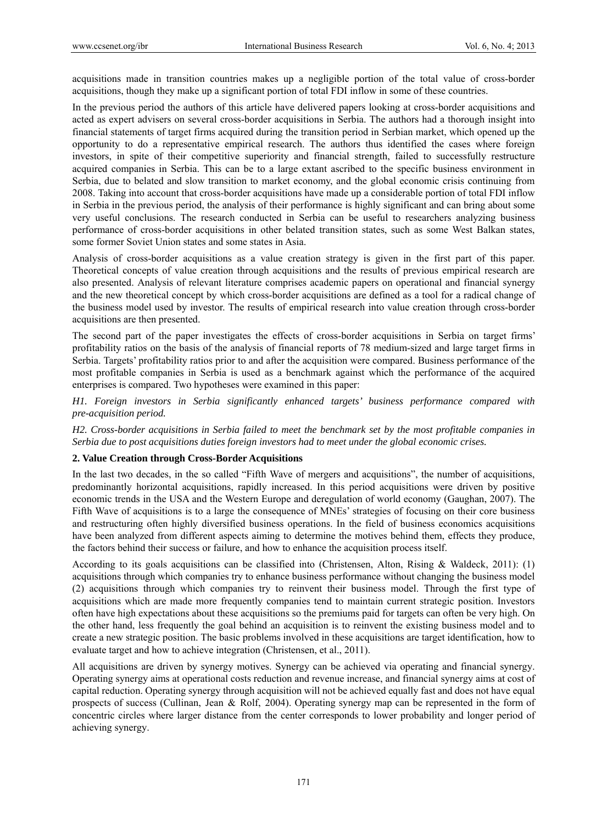acquisitions made in transition countries makes up a negligible portion of the total value of cross-border acquisitions, though they make up a significant portion of total FDI inflow in some of these countries.

In the previous period the authors of this article have delivered papers looking at cross-border acquisitions and acted as expert advisers on several cross-border acquisitions in Serbia. The authors had a thorough insight into financial statements of target firms acquired during the transition period in Serbian market, which opened up the opportunity to do a representative empirical research. The authors thus identified the cases where foreign investors, in spite of their competitive superiority and financial strength, failed to successfully restructure acquired companies in Serbia. This can be to a large extant ascribed to the specific business environment in Serbia, due to belated and slow transition to market economy, and the global economic crisis continuing from 2008. Taking into account that cross-border acquisitions have made up a considerable portion of total FDI inflow in Serbia in the previous period, the analysis of their performance is highly significant and can bring about some very useful conclusions. The research conducted in Serbia can be useful to researchers analyzing business performance of cross-border acquisitions in other belated transition states, such as some West Balkan states, some former Soviet Union states and some states in Asia.

Analysis of cross-border acquisitions as a value creation strategy is given in the first part of this paper. Theoretical concepts of value creation through acquisitions and the results of previous empirical research are also presented. Analysis of relevant literature comprises academic papers on operational and financial synergy and the new theoretical concept by which cross-border acquisitions are defined as a tool for a radical change of the business model used by investor. The results of empirical research into value creation through cross-border acquisitions are then presented.

The second part of the paper investigates the effects of cross-border acquisitions in Serbia on target firms' profitability ratios on the basis of the analysis of financial reports of 78 medium-sized and large target firms in Serbia. Targets' profitability ratios prior to and after the acquisition were compared. Business performance of the most profitable companies in Serbia is used as a benchmark against which the performance of the acquired enterprises is compared. Two hypotheses were examined in this paper:

*H1. Foreign investors in Serbia significantly enhanced targets' business performance compared with pre-acquisition period.* 

*H2. Cross-border acquisitions in Serbia failed to meet the benchmark set by the most profitable companies in Serbia due to post acquisitions duties foreign investors had to meet under the global economic crises.* 

## **2. Value Creation through Cross-Border Acquisitions**

In the last two decades, in the so called "Fifth Wave of mergers and acquisitions", the number of acquisitions, predominantly horizontal acquisitions, rapidly increased. In this period acquisitions were driven by positive economic trends in the USA and the Western Europe and deregulation of world economy (Gaughan, 2007). The Fifth Wave of acquisitions is to a large the consequence of MNEs' strategies of focusing on their core business and restructuring often highly diversified business operations. In the field of business economics acquisitions have been analyzed from different aspects aiming to determine the motives behind them, effects they produce, the factors behind their success or failure, and how to enhance the acquisition process itself.

According to its goals acquisitions can be classified into (Christensen, Alton, Rising & Waldeck, 2011): (1) acquisitions through which companies try to enhance business performance without changing the business model (2) acquisitions through which companies try to reinvent their business model. Through the first type of acquisitions which are made more frequently companies tend to maintain current strategic position. Investors often have high expectations about these acquisitions so the premiums paid for targets can often be very high. On the other hand, less frequently the goal behind an acquisition is to reinvent the existing business model and to create a new strategic position. The basic problems involved in these acquisitions are target identification, how to evaluate target and how to achieve integration (Christensen, et al., 2011).

All acquisitions are driven by synergy motives. Synergy can be achieved via operating and financial synergy. Operating synergy aims at operational costs reduction and revenue increase, and financial synergy aims at cost of capital reduction. Operating synergy through acquisition will not be achieved equally fast and does not have equal prospects of success (Cullinan, Jean & Rolf, 2004). Operating synergy map can be represented in the form of concentric circles where larger distance from the center corresponds to lower probability and longer period of achieving synergy.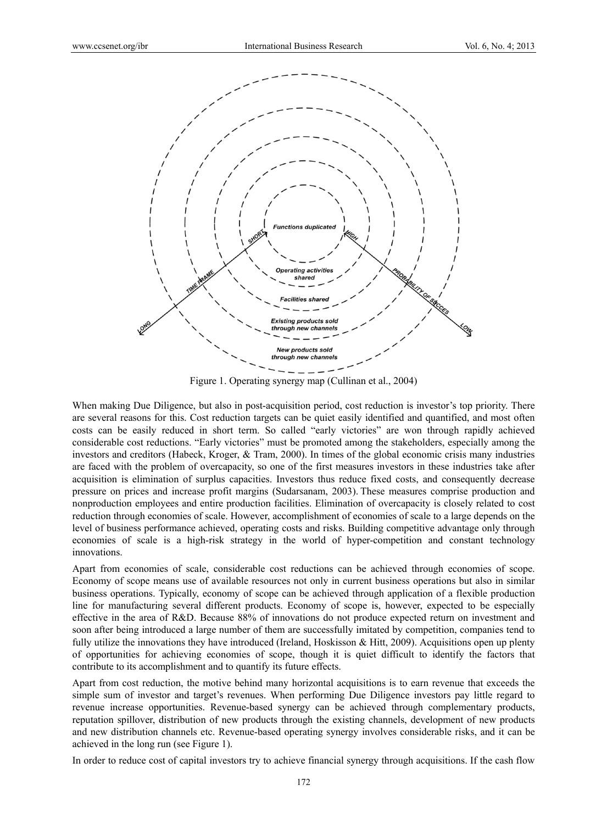

Figure 1. Operating synergy map (Cullinan et al., 2004)

When making Due Diligence, but also in post-acquisition period, cost reduction is investor's top priority. There are several reasons for this. Cost reduction targets can be quiet easily identified and quantified, and most often costs can be easily reduced in short term. So called "early victories" are won through rapidly achieved considerable cost reductions. "Early victories" must be promoted among the stakeholders, especially among the investors and creditors (Habeck, Kroger, & Tram, 2000). In times of the global economic crisis many industries are faced with the problem of overcapacity, so one of the first measures investors in these industries take after acquisition is elimination of surplus capacities. Investors thus reduce fixed costs, and consequently decrease pressure on prices and increase profit margins (Sudarsanam, 2003). These measures comprise production and nonproduction employees and entire production facilities. Elimination of overcapacity is closely related to cost reduction through economies of scale. However, accomplishment of economies of scale to a large depends on the level of business performance achieved, operating costs and risks. Building competitive advantage only through economies of scale is a high-risk strategy in the world of hyper-competition and constant technology innovations.

Apart from economies of scale, considerable cost reductions can be achieved through economies of scope. Economy of scope means use of available resources not only in current business operations but also in similar business operations. Typically, economy of scope can be achieved through application of a flexible production line for manufacturing several different products. Economy of scope is, however, expected to be especially effective in the area of R&D. Because 88% of innovations do not produce expected return on investment and soon after being introduced a large number of them are successfully imitated by competition, companies tend to fully utilize the innovations they have introduced (Ireland, Hoskisson  $\&$  Hitt, 2009). Acquisitions open up plenty of opportunities for achieving economies of scope, though it is quiet difficult to identify the factors that contribute to its accomplishment and to quantify its future effects.

Apart from cost reduction, the motive behind many horizontal acquisitions is to earn revenue that exceeds the simple sum of investor and target's revenues. When performing Due Diligence investors pay little regard to revenue increase opportunities. Revenue-based synergy can be achieved through complementary products, reputation spillover, distribution of new products through the existing channels, development of new products and new distribution channels etc. Revenue-based operating synergy involves considerable risks, and it can be achieved in the long run (see Figure 1).

In order to reduce cost of capital investors try to achieve financial synergy through acquisitions. If the cash flow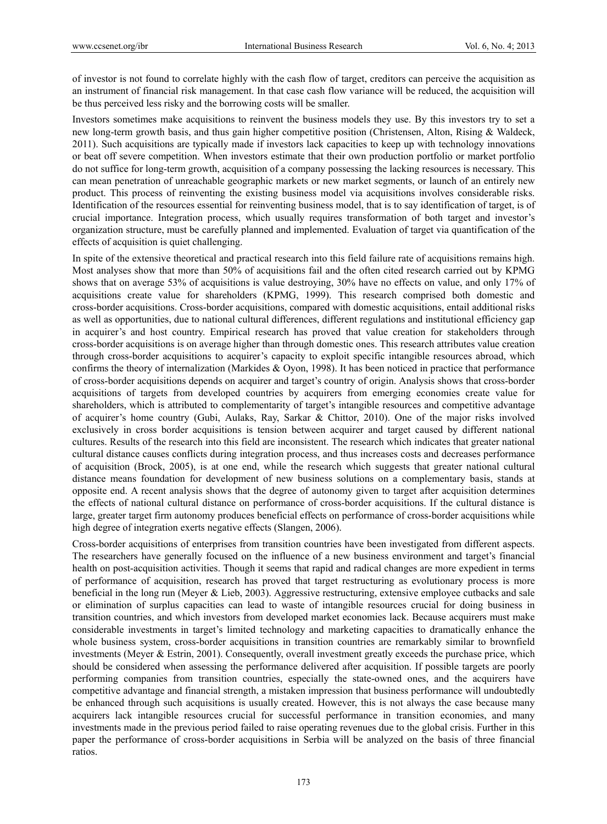of investor is not found to correlate highly with the cash flow of target, creditors can perceive the acquisition as an instrument of financial risk management. In that case cash flow variance will be reduced, the acquisition will be thus perceived less risky and the borrowing costs will be smaller.

Investors sometimes make acquisitions to reinvent the business models they use. By this investors try to set a new long-term growth basis, and thus gain higher competitive position (Christensen, Alton, Rising & Waldeck, 2011). Such acquisitions are typically made if investors lack capacities to keep up with technology innovations or beat off severe competition. When investors estimate that their own production portfolio or market portfolio do not suffice for long-term growth, acquisition of a company possessing the lacking resources is necessary. This can mean penetration of unreachable geographic markets or new market segments, or launch of an entirely new product. This process of reinventing the existing business model via acquisitions involves considerable risks. Identification of the resources essential for reinventing business model, that is to say identification of target, is of crucial importance. Integration process, which usually requires transformation of both target and investor's organization structure, must be carefully planned and implemented. Evaluation of target via quantification of the effects of acquisition is quiet challenging.

In spite of the extensive theoretical and practical research into this field failure rate of acquisitions remains high. Most analyses show that more than 50% of acquisitions fail and the often cited research carried out by KPMG shows that on average 53% of acquisitions is value destroying, 30% have no effects on value, and only 17% of acquisitions create value for shareholders (KPMG, 1999). This research comprised both domestic and cross-border acquisitions. Cross-border acquisitions, compared with domestic acquisitions, entail additional risks as well as opportunities, due to national cultural differences, different regulations and institutional efficiency gap in acquirer's and host country. Empirical research has proved that value creation for stakeholders through cross-border acquisitions is on average higher than through domestic ones. This research attributes value creation through cross-border acquisitions to acquirer's capacity to exploit specific intangible resources abroad, which confirms the theory of internalization (Markides & Oyon, 1998). It has been noticed in practice that performance of cross-border acquisitions depends on acquirer and target's country of origin. Analysis shows that cross-border acquisitions of targets from developed countries by acquirers from emerging economies create value for shareholders, which is attributed to complementarity of target's intangible resources and competitive advantage of acquirer's home country (Gubi, Aulaks, Ray, Sarkar & Chittor, 2010). One of the major risks involved exclusively in cross border acquisitions is tension between acquirer and target caused by different national cultures. Results of the research into this field are inconsistent. The research which indicates that greater national cultural distance causes conflicts during integration process, and thus increases costs and decreases performance of acquisition (Brock, 2005), is at one end, while the research which suggests that greater national cultural distance means foundation for development of new business solutions on a complementary basis, stands at opposite end. A recent analysis shows that the degree of autonomy given to target after acquisition determines the effects of national cultural distance on performance of cross-border acquisitions. If the cultural distance is large, greater target firm autonomy produces beneficial effects on performance of cross-border acquisitions while high degree of integration exerts negative effects (Slangen, 2006).

Cross-border acquisitions of enterprises from transition countries have been investigated from different aspects. The researchers have generally focused on the influence of a new business environment and target's financial health on post-acquisition activities. Though it seems that rapid and radical changes are more expedient in terms of performance of acquisition, research has proved that target restructuring as evolutionary process is more beneficial in the long run (Meyer & Lieb, 2003). Aggressive restructuring, extensive employee cutbacks and sale or elimination of surplus capacities can lead to waste of intangible resources crucial for doing business in transition countries, and which investors from developed market economies lack. Because acquirers must make considerable investments in target's limited technology and marketing capacities to dramatically enhance the whole business system, cross-border acquisitions in transition countries are remarkably similar to brownfield investments (Meyer & Estrin, 2001). Consequently, overall investment greatly exceeds the purchase price, which should be considered when assessing the performance delivered after acquisition. If possible targets are poorly performing companies from transition countries, especially the state-owned ones, and the acquirers have competitive advantage and financial strength, a mistaken impression that business performance will undoubtedly be enhanced through such acquisitions is usually created. However, this is not always the case because many acquirers lack intangible resources crucial for successful performance in transition economies, and many investments made in the previous period failed to raise operating revenues due to the global crisis. Further in this paper the performance of cross-border acquisitions in Serbia will be analyzed on the basis of three financial ratios.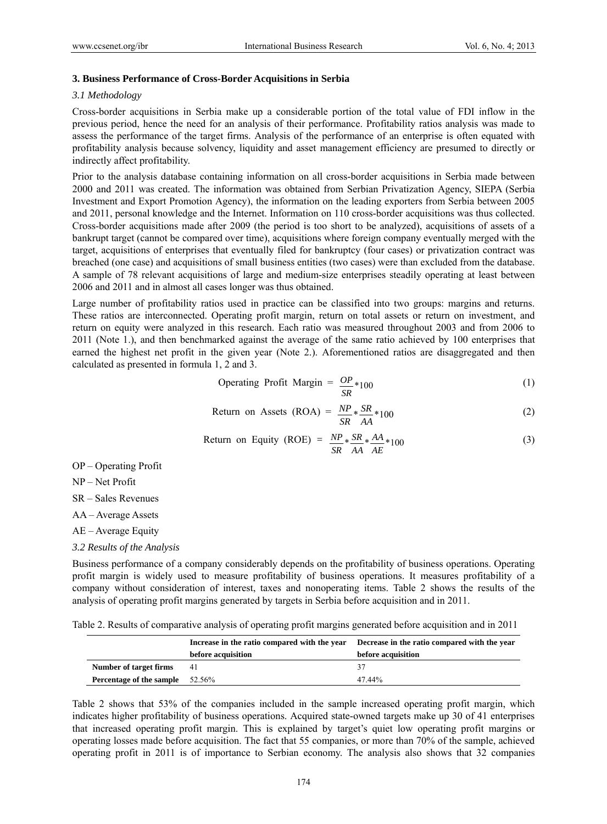## **3. Business Performance of Cross-Border Acquisitions in Serbia**

# *3.1 Methodology*

Cross-border acquisitions in Serbia make up a considerable portion of the total value of FDI inflow in the previous period, hence the need for an analysis of their performance. Profitability ratios analysis was made to assess the performance of the target firms. Analysis of the performance of an enterprise is often equated with profitability analysis because solvency, liquidity and asset management efficiency are presumed to directly or indirectly affect profitability.

Prior to the analysis database containing information on all cross-border acquisitions in Serbia made between 2000 and 2011 was created. The information was obtained from Serbian Privatization Agency, SIEPA (Serbia Investment and Export Promotion Agency), the information on the leading exporters from Serbia between 2005 and 2011, personal knowledge and the Internet. Information on 110 cross-border acquisitions was thus collected. Cross-border acquisitions made after 2009 (the period is too short to be analyzed), acquisitions of assets of a bankrupt target (cannot be compared over time), acquisitions where foreign company eventually merged with the target, acquisitions of enterprises that eventually filed for bankruptcy (four cases) or privatization contract was breached (one case) and acquisitions of small business entities (two cases) were than excluded from the database. A sample of 78 relevant acquisitions of large and medium-size enterprises steadily operating at least between 2006 and 2011 and in almost all cases longer was thus obtained.

Large number of profitability ratios used in practice can be classified into two groups: margins and returns. These ratios are interconnected. Operating profit margin, return on total assets or return on investment, and return on equity were analyzed in this research. Each ratio was measured throughout 2003 and from 2006 to 2011 (Note 1.), and then benchmarked against the average of the same ratio achieved by 100 enterprises that earned the highest net profit in the given year (Note 2.). Aforementioned ratios are disaggregated and then calculated as presented in formula 1, 2 and 3.

Operating Profit Margin = 
$$
\frac{OP}{SR} * 100
$$
 (1)

Return on Assets (ROA) = 
$$
\frac{NP}{SR} * \frac{SR}{AA} * 100
$$
 (2)

Return on Equity (ROE) = 
$$
\frac{NP}{SR} * \frac{SR}{AA} * \frac{AA}{AE} * 100
$$
 (3)

OP – Operating Profit

NP – Net Profit

SR – Sales Revenues

AA – Average Assets

AE – Average Equity

*3.2 Results of the Analysis* 

Business performance of a company considerably depends on the profitability of business operations. Operating profit margin is widely used to measure profitability of business operations. It measures profitability of a company without consideration of interest, taxes and nonoperating items. Table 2 shows the results of the analysis of operating profit margins generated by targets in Serbia before acquisition and in 2011.

Table 2. Results of comparative analysis of operating profit margins generated before acquisition and in 2011

|                                        | Increase in the ratio compared with the year | Decrease in the ratio compared with the year |
|----------------------------------------|----------------------------------------------|----------------------------------------------|
|                                        | before acquisition                           | before acquisition                           |
| Number of target firms                 | - 41                                         |                                              |
| <b>Percentage of the sample</b> 52.56% |                                              | 47.44%                                       |

Table 2 shows that 53% of the companies included in the sample increased operating profit margin, which indicates higher profitability of business operations. Acquired state-owned targets make up 30 of 41 enterprises that increased operating profit margin. This is explained by target's quiet low operating profit margins or operating losses made before acquisition. The fact that 55 companies, or more than 70% of the sample, achieved operating profit in 2011 is of importance to Serbian economy. The analysis also shows that 32 companies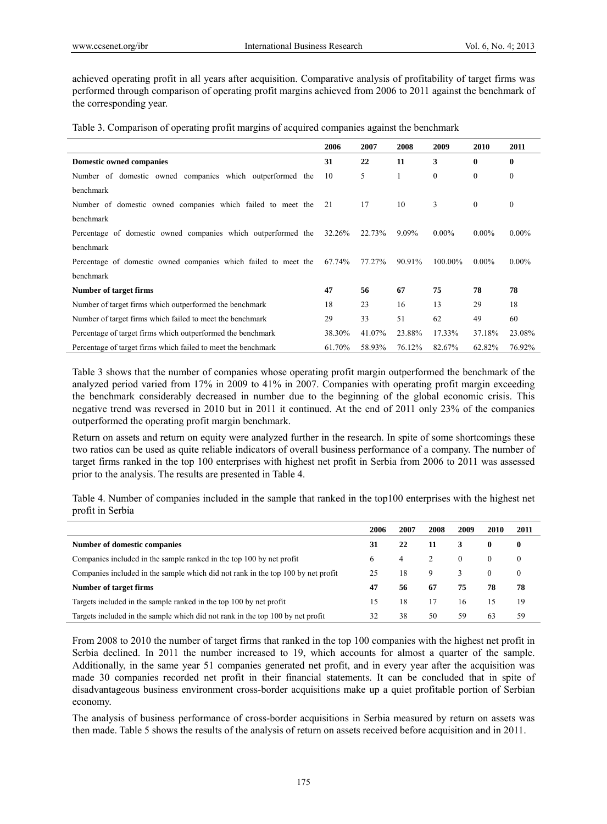achieved operating profit in all years after acquisition. Comparative analysis of profitability of target firms was performed through comparison of operating profit margins achieved from 2006 to 2011 against the benchmark of the corresponding year.

Table 3. Comparison of operating profit margins of acquired companies against the benchmark

|                                                                 | 2006   | 2007   | 2008   | 2009       | 2010             | 2011             |
|-----------------------------------------------------------------|--------|--------|--------|------------|------------------|------------------|
| <b>Domestic owned companies</b>                                 | 31     | 22     | 11     | 3          | $\bf{0}$         | $\bf{0}$         |
| Number of domestic owned companies which outperformed the       | 10     | 5      | 1      | $\theta$   | $\boldsymbol{0}$ | $\boldsymbol{0}$ |
| benchmark                                                       |        |        |        |            |                  |                  |
| Number of domestic owned companies which failed to meet the     | 21     | 17     | 10     | 3          | $\theta$         | $\boldsymbol{0}$ |
| benchmark                                                       |        |        |        |            |                  |                  |
| Percentage of domestic owned companies which outperformed the   | 32.26% | 22.73% | 9.09%  | $0.00\%$   | $0.00\%$         | $0.00\%$         |
| benchmark                                                       |        |        |        |            |                  |                  |
| Percentage of domestic owned companies which failed to meet the | 67.74% | 77.27% | 90.91% | $100.00\%$ | $0.00\%$         | $0.00\%$         |
| benchmark                                                       |        |        |        |            |                  |                  |
| <b>Number of target firms</b>                                   | 47     | 56     | 67     | 75         | 78               | 78               |
| Number of target firms which outperformed the benchmark         | 18     | 23     | 16     | 13         | 29               | 18               |
| Number of target firms which failed to meet the benchmark       | 29     | 33     | 51     | 62         | 49               | 60               |
| Percentage of target firms which outperformed the benchmark     | 38.30% | 41.07% | 23.88% | 17.33%     | 37.18%           | 23.08%           |
| Percentage of target firms which failed to meet the benchmark   | 61.70% | 58.93% | 76.12% | 82.67%     | 62.82%           | 76.92%           |

Table 3 shows that the number of companies whose operating profit margin outperformed the benchmark of the analyzed period varied from 17% in 2009 to 41% in 2007. Companies with operating profit margin exceeding the benchmark considerably decreased in number due to the beginning of the global economic crisis. This negative trend was reversed in 2010 but in 2011 it continued. At the end of 2011 only 23% of the companies outperformed the operating profit margin benchmark.

Return on assets and return on equity were analyzed further in the research. In spite of some shortcomings these two ratios can be used as quite reliable indicators of overall business performance of a company. The number of target firms ranked in the top 100 enterprises with highest net profit in Serbia from 2006 to 2011 was assessed prior to the analysis. The results are presented in Table 4.

Table 4. Number of companies included in the sample that ranked in the top100 enterprises with the highest net profit in Serbia

|                                                                                  | 2006 | 2007 | 2008 | 2009     | 2010     | 2011     |
|----------------------------------------------------------------------------------|------|------|------|----------|----------|----------|
| Number of domestic companies                                                     | 31   | 22   | 11   | 3        | 0        | 0        |
| Companies included in the sample ranked in the top 100 by net profit             | 6    | 4    |      | $\theta$ |          | $\theta$ |
| Companies included in the sample which did not rank in the top 100 by net profit | 25   | 18   | 9    |          | $\Omega$ | $\theta$ |
| Number of target firms                                                           | 47   | 56   | 67   | 75       | 78       | 78       |
| Targets included in the sample ranked in the top 100 by net profit               | 15   | 18   |      | 16       | 15       | 19       |
| Targets included in the sample which did not rank in the top 100 by net profit   | 32   | 38   | 50   | 59       | 63       | 59       |

From 2008 to 2010 the number of target firms that ranked in the top 100 companies with the highest net profit in Serbia declined. In 2011 the number increased to 19, which accounts for almost a quarter of the sample. Additionally, in the same year 51 companies generated net profit, and in every year after the acquisition was made 30 companies recorded net profit in their financial statements. It can be concluded that in spite of disadvantageous business environment cross-border acquisitions make up a quiet profitable portion of Serbian economy.

The analysis of business performance of cross-border acquisitions in Serbia measured by return on assets was then made. Table 5 shows the results of the analysis of return on assets received before acquisition and in 2011.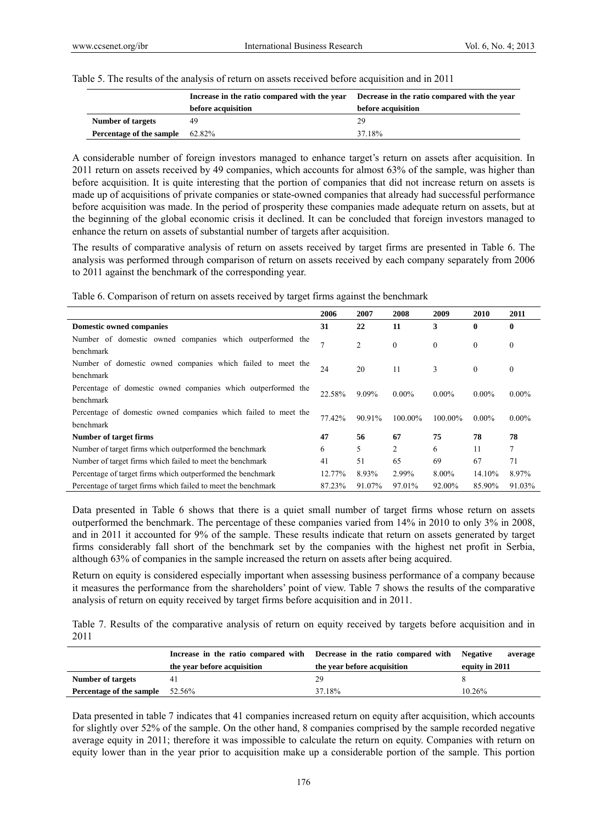| Table 5. The results of the analysis of return on assets received before acquisition and in 2011 |  |
|--------------------------------------------------------------------------------------------------|--|
|                                                                                                  |  |

|                          |                    | Increase in the ratio compared with the year Decrease in the ratio compared with the year |  |  |
|--------------------------|--------------------|-------------------------------------------------------------------------------------------|--|--|
|                          | before acquisition | before acquisition                                                                        |  |  |
| Number of targets        |                    | 29                                                                                        |  |  |
| Percentage of the sample | 62.82%             | 37.18%                                                                                    |  |  |

A considerable number of foreign investors managed to enhance target's return on assets after acquisition. In 2011 return on assets received by 49 companies, which accounts for almost 63% of the sample, was higher than before acquisition. It is quite interesting that the portion of companies that did not increase return on assets is made up of acquisitions of private companies or state-owned companies that already had successful performance before acquisition was made. In the period of prosperity these companies made adequate return on assets, but at the beginning of the global economic crisis it declined. It can be concluded that foreign investors managed to enhance the return on assets of substantial number of targets after acquisition.

The results of comparative analysis of return on assets received by target firms are presented in Table 6. The analysis was performed through comparison of return on assets received by each company separately from 2006 to 2011 against the benchmark of the corresponding year.

|  | Table 6. Comparison of return on assets received by target firms against the benchmark |  |  |
|--|----------------------------------------------------------------------------------------|--|--|
|  |                                                                                        |  |  |
|  |                                                                                        |  |  |
|  |                                                                                        |  |  |

|                                                                 | 2006   | 2007   | 2008         | 2009             | 2010         | 2011         |
|-----------------------------------------------------------------|--------|--------|--------------|------------------|--------------|--------------|
| <b>Domestic owned companies</b>                                 | 31     | 22     | 11           | 3                | $\mathbf{0}$ | $\mathbf{0}$ |
| Number of domestic owned companies which outperformed the       | 7      |        |              |                  |              |              |
| benchmark                                                       |        | 2      | $\mathbf{0}$ | $\boldsymbol{0}$ | $\theta$     | $\mathbf{0}$ |
| Number of domestic owned companies which failed to meet the     |        |        |              |                  |              |              |
| benchmark                                                       | 24     | 20     | 11           | 3                | $\mathbf{0}$ | $\bf{0}$     |
| Percentage of domestic owned companies which outperformed the   |        |        |              |                  |              |              |
| <b>benchmark</b>                                                | 22.58% | 9.09%  | $0.00\%$     | $0.00\%$         | $0.00\%$     | $0.00\%$     |
| Percentage of domestic owned companies which failed to meet the |        |        |              |                  |              |              |
| <b>benchmark</b>                                                | 77.42% | 90.91% | $100.00\%$   | $100.00\%$       | $0.00\%$     | $0.00\%$     |
| Number of target firms                                          | 47     | 56     | 67           | 75               | 78           | 78           |
| Number of target firms which outperformed the benchmark         | 6      | 5      | 2            | 6                | 11           | 7            |
| Number of target firms which failed to meet the benchmark       | 41     | 51     | 65           | 69               | 67           | 71           |
| Percentage of target firms which outperformed the benchmark     | 12.77% | 8.93%  | 2.99%        | 8.00%            | 14.10%       | 8.97%        |
| Percentage of target firms which failed to meet the benchmark   | 87.23% | 91.07% | 97.01%       | 92.00%           | 85.90%       | 91.03%       |

Data presented in Table 6 shows that there is a quiet small number of target firms whose return on assets outperformed the benchmark. The percentage of these companies varied from 14% in 2010 to only 3% in 2008, and in 2011 it accounted for 9% of the sample. These results indicate that return on assets generated by target firms considerably fall short of the benchmark set by the companies with the highest net profit in Serbia, although 63% of companies in the sample increased the return on assets after being acquired.

Return on equity is considered especially important when assessing business performance of a company because it measures the performance from the shareholders' point of view. Table 7 shows the results of the comparative analysis of return on equity received by target firms before acquisition and in 2011.

Table 7. Results of the comparative analysis of return on equity received by targets before acquisition and in 2011

|                                    |                             | Increase in the ratio compared with Decrease in the ratio compared with Negative | average        |
|------------------------------------|-----------------------------|----------------------------------------------------------------------------------|----------------|
|                                    | the year before acquisition | the year before acquisition                                                      | equity in 2011 |
| <b>Number of targets</b>           | 4                           | 29                                                                               |                |
| Percentage of the sample $52.56\%$ |                             | 37.18%                                                                           | 10.26%         |

Data presented in table 7 indicates that 41 companies increased return on equity after acquisition, which accounts for slightly over 52% of the sample. On the other hand, 8 companies comprised by the sample recorded negative average equity in 2011; therefore it was impossible to calculate the return on equity. Companies with return on equity lower than in the year prior to acquisition make up a considerable portion of the sample. This portion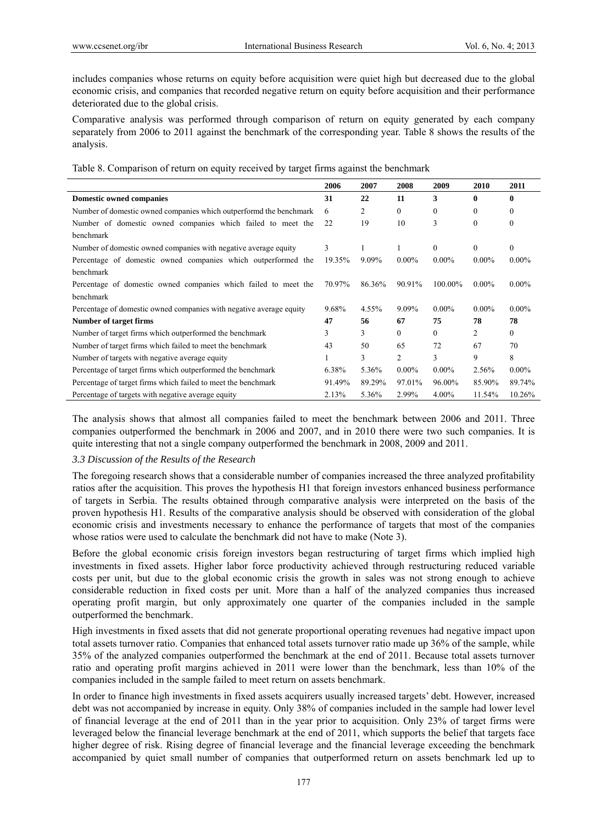includes companies whose returns on equity before acquisition were quiet high but decreased due to the global economic crisis, and companies that recorded negative return on equity before acquisition and their performance deteriorated due to the global crisis.

Comparative analysis was performed through comparison of return on equity generated by each company separately from 2006 to 2011 against the benchmark of the corresponding year. Table 8 shows the results of the analysis.

|  |  | Table 8. Comparison of return on equity received by target firms against the benchmark |  |
|--|--|----------------------------------------------------------------------------------------|--|
|  |  |                                                                                        |  |

|                                                                     | 2006   | 2007     | 2008         | 2009     | 2010     | 2011     |
|---------------------------------------------------------------------|--------|----------|--------------|----------|----------|----------|
| <b>Domestic owned companies</b>                                     | 31     | 22       | 11           | 3        | 0        | 0        |
| Number of domestic owned companies which outperformd the benchmark  | 6      | 2        | $\mathbf{0}$ | $\theta$ | $\theta$ | 0        |
| Number of domestic owned companies which failed to meet the         | 22     | 19       | 10           | 3        | $\theta$ | $\theta$ |
| benchmark                                                           |        |          |              |          |          |          |
| Number of domestic owned companies with negative average equity     | 3      |          |              | $\theta$ | $\theta$ | $\theta$ |
| Percentage of domestic owned companies which outperformed the       | 19.35% | $9.09\%$ | $0.00\%$     | $0.00\%$ | $0.00\%$ | $0.00\%$ |
| benchmark                                                           |        |          |              |          |          |          |
| Percentage of domestic owned companies which failed to meet the     | 70.97% | 86.36%   | 90.91%       | 100.00%  | $0.00\%$ | $0.00\%$ |
| benchmark                                                           |        |          |              |          |          |          |
| Percentage of domestic owned companies with negative average equity | 9.68%  | 4.55%    | 9.09%        | $0.00\%$ | $0.00\%$ | $0.00\%$ |
| Number of target firms                                              | 47     | 56       | 67           | 75       | 78       | 78       |
| Number of target firms which outperformed the benchmark             | 3      | 3        | $\mathbf{0}$ | $\Omega$ | 2        | $\theta$ |
| Number of target firms which failed to meet the benchmark           | 43     | 50       | 65           | 72       | 67       | 70       |
| Number of targets with negative average equity                      |        | 3        | 2            | 3        | 9        | 8        |
| Percentage of target firms which outperformed the benchmark         | 6.38%  | 5.36%    | $0.00\%$     | $0.00\%$ | 2.56%    | $0.00\%$ |
| Percentage of target firms which failed to meet the benchmark       | 91.49% | 89.29%   | 97.01%       | 96.00%   | 85.90%   | 89.74%   |
| Percentage of targets with negative average equity                  | 2.13%  | 5.36%    | 2.99%        | $4.00\%$ | 11.54%   | 10.26%   |

The analysis shows that almost all companies failed to meet the benchmark between 2006 and 2011. Three companies outperformed the benchmark in 2006 and 2007, and in 2010 there were two such companies. It is quite interesting that not a single company outperformed the benchmark in 2008, 2009 and 2011.

## *3.3 Discussion of the Results of the Research*

The foregoing research shows that a considerable number of companies increased the three analyzed profitability ratios after the acquisition. This proves the hypothesis H1 that foreign investors enhanced business performance of targets in Serbia. The results obtained through comparative analysis were interpreted on the basis of the proven hypothesis H1. Results of the comparative analysis should be observed with consideration of the global economic crisis and investments necessary to enhance the performance of targets that most of the companies whose ratios were used to calculate the benchmark did not have to make (Note 3).

Before the global economic crisis foreign investors began restructuring of target firms which implied high investments in fixed assets. Higher labor force productivity achieved through restructuring reduced variable costs per unit, but due to the global economic crisis the growth in sales was not strong enough to achieve considerable reduction in fixed costs per unit. More than a half of the analyzed companies thus increased operating profit margin, but only approximately one quarter of the companies included in the sample outperformed the benchmark.

High investments in fixed assets that did not generate proportional operating revenues had negative impact upon total assets turnover ratio. Companies that enhanced total assets turnover ratio made up 36% of the sample, while 35% of the analyzed companies outperformed the benchmark at the end of 2011. Because total assets turnover ratio and operating profit margins achieved in 2011 were lower than the benchmark, less than 10% of the companies included in the sample failed to meet return on assets benchmark.

In order to finance high investments in fixed assets acquirers usually increased targets' debt. However, increased debt was not accompanied by increase in equity. Only 38% of companies included in the sample had lower level of financial leverage at the end of 2011 than in the year prior to acquisition. Only 23% of target firms were leveraged below the financial leverage benchmark at the end of 2011, which supports the belief that targets face higher degree of risk. Rising degree of financial leverage and the financial leverage exceeding the benchmark accompanied by quiet small number of companies that outperformed return on assets benchmark led up to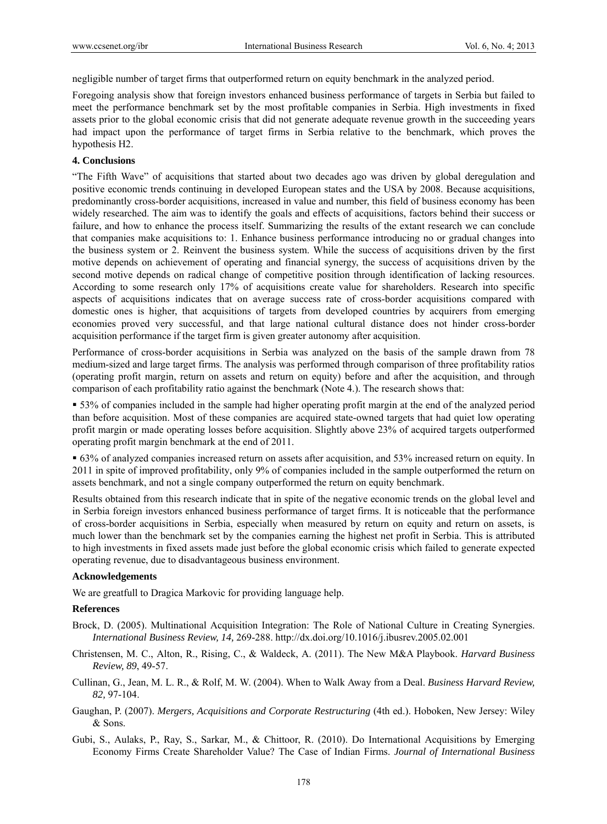negligible number of target firms that outperformed return on equity benchmark in the analyzed period.

Foregoing analysis show that foreign investors enhanced business performance of targets in Serbia but failed to meet the performance benchmark set by the most profitable companies in Serbia. High investments in fixed assets prior to the global economic crisis that did not generate adequate revenue growth in the succeeding years had impact upon the performance of target firms in Serbia relative to the benchmark, which proves the hypothesis H2.

## **4. Conclusions**

"The Fifth Wave" of acquisitions that started about two decades ago was driven by global deregulation and positive economic trends continuing in developed European states and the USA by 2008. Because acquisitions, predominantly cross-border acquisitions, increased in value and number, this field of business economy has been widely researched. The aim was to identify the goals and effects of acquisitions, factors behind their success or failure, and how to enhance the process itself. Summarizing the results of the extant research we can conclude that companies make acquisitions to: 1. Enhance business performance introducing no or gradual changes into the business system or 2. Reinvent the business system. While the success of acquisitions driven by the first motive depends on achievement of operating and financial synergy, the success of acquisitions driven by the second motive depends on radical change of competitive position through identification of lacking resources. According to some research only 17% of acquisitions create value for shareholders. Research into specific aspects of acquisitions indicates that on average success rate of cross-border acquisitions compared with domestic ones is higher, that acquisitions of targets from developed countries by acquirers from emerging economies proved very successful, and that large national cultural distance does not hinder cross-border acquisition performance if the target firm is given greater autonomy after acquisition.

Performance of cross-border acquisitions in Serbia was analyzed on the basis of the sample drawn from 78 medium-sized and large target firms. The analysis was performed through comparison of three profitability ratios (operating profit margin, return on assets and return on equity) before and after the acquisition, and through comparison of each profitability ratio against the benchmark (Note 4.). The research shows that:

 53% of companies included in the sample had higher operating profit margin at the end of the analyzed period than before acquisition. Most of these companies are acquired state-owned targets that had quiet low operating profit margin or made operating losses before acquisition. Slightly above 23% of acquired targets outperformed operating profit margin benchmark at the end of 2011.

 63% of analyzed companies increased return on assets after acquisition, and 53% increased return on equity. In 2011 in spite of improved profitability, only 9% of companies included in the sample outperformed the return on assets benchmark, and not a single company outperformed the return on equity benchmark.

Results obtained from this research indicate that in spite of the negative economic trends on the global level and in Serbia foreign investors enhanced business performance of target firms. It is noticeable that the performance of cross-border acquisitions in Serbia, especially when measured by return on equity and return on assets, is much lower than the benchmark set by the companies earning the highest net profit in Serbia. This is attributed to high investments in fixed assets made just before the global economic crisis which failed to generate expected operating revenue, due to disadvantageous business environment.

## **Acknowledgements**

We are greatfull to Dragica Markovic for providing language help.

## **References**

- Brock, D. (2005). Multinational Acquisition Integration: The Role of National Culture in Creating Synergies. *International Business Review, 14,* 269-288. http://dx.doi.org/10.1016/j.ibusrev.2005.02.001
- Christensen, M. C., Alton, R., Rising, C., & Waldeck, A. (2011). The New M&A Playbook. *Harvard Business Review, 89*, 49-57.
- Cullinan, G., Jean, M. L. R., & Rolf, M. W. (2004). When to Walk Away from a Deal. *Business Harvard Review, 82,* 97-104.
- Gaughan, P. (2007). *Mergers, Acquisitions and Corporate Restructuring* (4th ed.). Hoboken, New Jersey: Wiley & Sons.
- Gubi, S., Aulaks, P., Ray, S., Sarkar, M., & Chittoor, R. (2010). Do International Acquisitions by Emerging Economy Firms Create Shareholder Value? The Case of Indian Firms. *Journal of International Business*